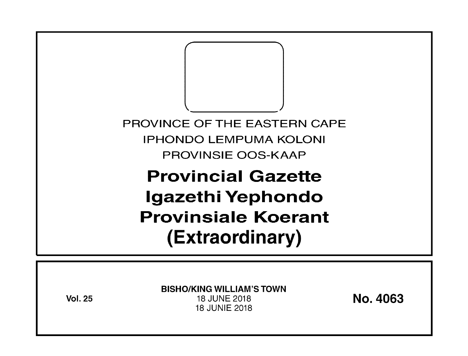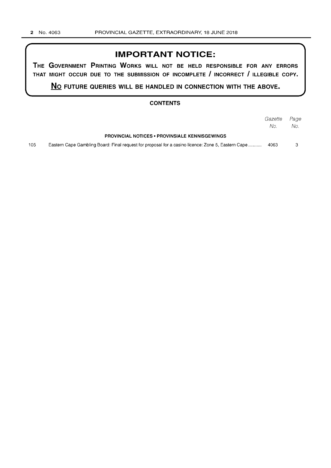## **IMPORTANT NOTICE:**

**THE GOVERNMENT PRINTING WORKS WILL NOT BE HELD RESPONSIBLE FOR ANY ERRORS THAT MIGHT OCCUR DUE TO THE SUBMISSION OF INCOMPLETE I INCORRECT I ILLEGIBLE COPY.** 

**No FUTURE QUERIES WILL BE HANDLED IN CONNECTION WITH THE ABOVE.** 

### **CONTENTS**

|     |                                                                                                    | Gazette | Page |
|-----|----------------------------------------------------------------------------------------------------|---------|------|
|     |                                                                                                    | No.     | No.  |
|     | <b>PROVINCIAL NOTICES • PROVINSIALE KENNISGEWINGS</b>                                              |         |      |
| 105 | Eastern Cape Gambling Board: Final request for proposal for a casino licence: Zone 5, Eastern Cape | 4063    |      |